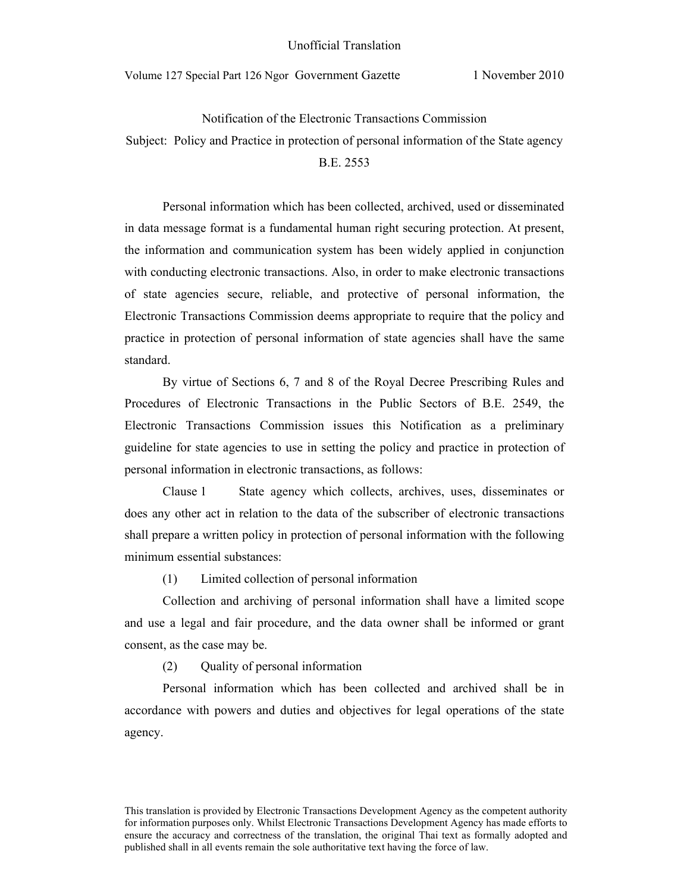## Unofficial Translation

Volume 127 Special Part 126 Ngor Government Gazette 1 November 2010

Notification of the Electronic Transactions Commission Subject: Policy and Practice in protection of personal information of the State agency B.E. 2553

Personal information which has been collected, archived, used or disseminated in data message format is a fundamental human right securing protection. At present, the information and communication system has been widely applied in conjunction with conducting electronic transactions. Also, in order to make electronic transactions of state agencies secure, reliable, and protective of personal information, the Electronic Transactions Commission deems appropriate to require that the policy and practice in protection of personal information of state agencies shall have the same standard.

By virtue of Sections 6, 7 and 8 of the Royal Decree Prescribing Rules and Procedures of Electronic Transactions in the Public Sectors of B.E. 2549, the Electronic Transactions Commission issues this Notification as a preliminary guideline for state agencies to use in setting the policy and practice in protection of personal information in electronic transactions, as follows:

Clause 1 State agency which collects, archives, uses, disseminates or does any other act in relation to the data of the subscriber of electronic transactions shall prepare a written policy in protection of personal information with the following minimum essential substances:

(1) Limited collection of personal information

Collection and archiving of personal information shall have a limited scope and use a legal and fair procedure, and the data owner shall be informed or grant consent, as the case may be.

(2) Quality of personal information

Personal information which has been collected and archived shall be in accordance with powers and duties and objectives for legal operations of the state agency.

This translation is provided by Electronic Transactions Development Agency as the competent authority for information purposes only. Whilst Electronic Transactions Development Agency has made efforts to ensure the accuracy and correctness of the translation, the original Thai text as formally adopted and published shall in all events remain the sole authoritative text having the force of law.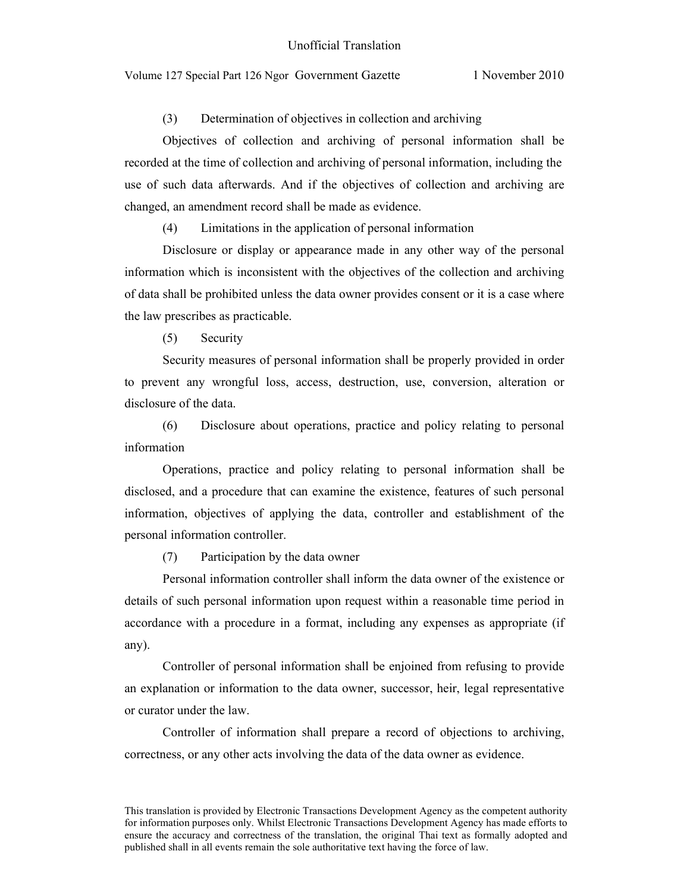(3) Determination of objectives in collection and archiving

Objectives of collection and archiving of personal information shall be recorded at the time of collection and archiving of personal information, including the use of such data afterwards. And if the objectives of collection and archiving are changed, an amendment record shall be made as evidence.

(4) Limitations in the application of personal information

Disclosure or display or appearance made in any other way of the personal information which is inconsistent with the objectives of the collection and archiving of data shall be prohibited unless the data owner provides consent or it is a case where the law prescribes as practicable.

(5) Security

Security measures of personal information shall be properly provided in order to prevent any wrongful loss, access, destruction, use, conversion, alteration or disclosure of the data.

(6) Disclosure about operations, practice and policy relating to personal information

Operations, practice and policy relating to personal information shall be disclosed, and a procedure that can examine the existence, features of such personal information, objectives of applying the data, controller and establishment of the personal information controller.

(7) Participation by the data owner

Personal information controller shall inform the data owner of the existence or details of such personal information upon request within a reasonable time period in accordance with a procedure in a format, including any expenses as appropriate (if any).

Controller of personal information shall be enjoined from refusing to provide an explanation or information to the data owner, successor, heir, legal representative or curator under the law.

Controller of information shall prepare a record of objections to archiving, correctness, or any other acts involving the data of the data owner as evidence.

This translation is provided by Electronic Transactions Development Agency as the competent authority for information purposes only. Whilst Electronic Transactions Development Agency has made efforts to ensure the accuracy and correctness of the translation, the original Thai text as formally adopted and published shall in all events remain the sole authoritative text having the force of law.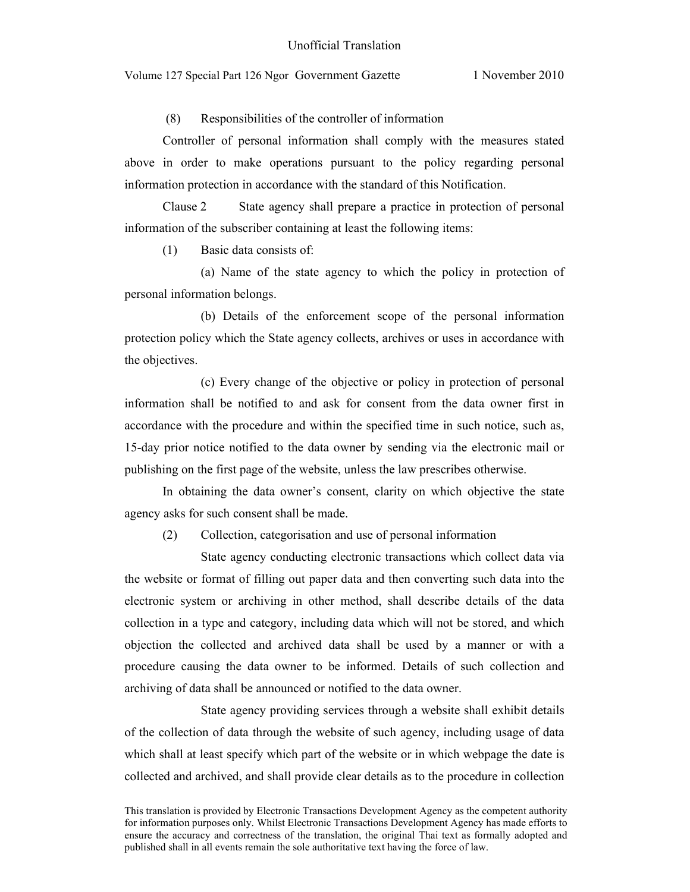(8) Responsibilities of the controller of information

Controller of personal information shall comply with the measures stated above in order to make operations pursuant to the policy regarding personal information protection in accordance with the standard of this Notification.

Clause 2 State agency shall prepare a practice in protection of personal information of the subscriber containing at least the following items:

(1) Basic data consists of:

(a) Name of the state agency to which the policy in protection of personal information belongs.

(b) Details of the enforcement scope of the personal information protection policy which the State agency collects, archives or uses in accordance with the objectives.

(c) Every change of the objective or policy in protection of personal information shall be notified to and ask for consent from the data owner first in accordance with the procedure and within the specified time in such notice, such as, 15-day prior notice notified to the data owner by sending via the electronic mail or publishing on the first page of the website, unless the law prescribes otherwise.

In obtaining the data owner's consent, clarity on which objective the state agency asks for such consent shall be made.

(2) Collection, categorisation and use of personal information

State agency conducting electronic transactions which collect data via the website or format of filling out paper data and then converting such data into the electronic system or archiving in other method, shall describe details of the data collection in a type and category, including data which will not be stored, and which objection the collected and archived data shall be used by a manner or with a procedure causing the data owner to be informed. Details of such collection and archiving of data shall be announced or notified to the data owner.

State agency providing services through a website shall exhibit details of the collection of data through the website of such agency, including usage of data which shall at least specify which part of the website or in which webpage the date is collected and archived, and shall provide clear details as to the procedure in collection

This translation is provided by Electronic Transactions Development Agency as the competent authority for information purposes only. Whilst Electronic Transactions Development Agency has made efforts to ensure the accuracy and correctness of the translation, the original Thai text as formally adopted and published shall in all events remain the sole authoritative text having the force of law.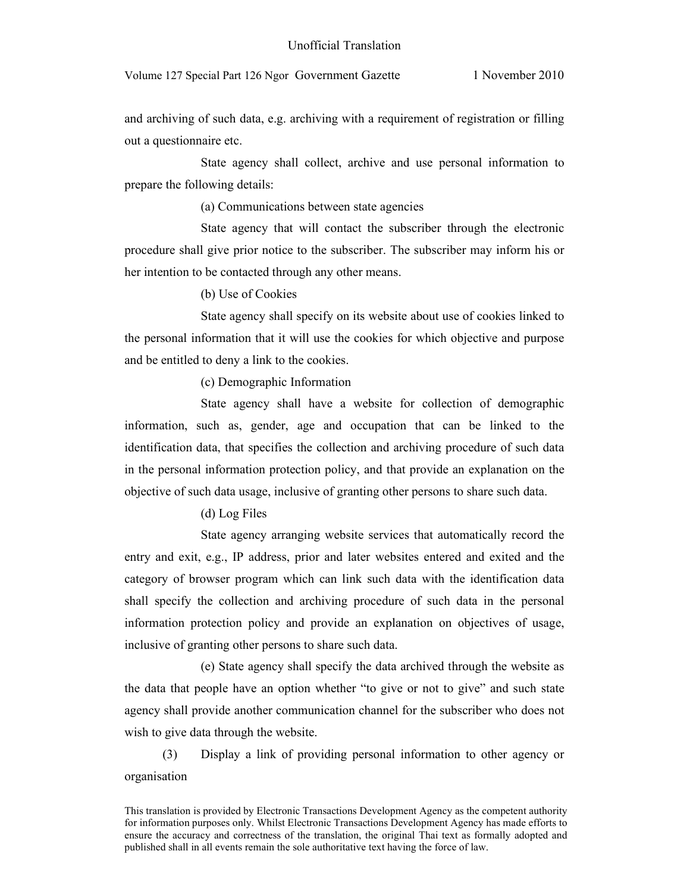and archiving of such data, e.g. archiving with a requirement of registration or filling out a questionnaire etc.

State agency shall collect, archive and use personal information to prepare the following details:

(a) Communications between state agencies

State agency that will contact the subscriber through the electronic procedure shall give prior notice to the subscriber. The subscriber may inform his or her intention to be contacted through any other means.

(b) Use of Cookies

State agency shall specify on its website about use of cookies linked to the personal information that it will use the cookies for which objective and purpose and be entitled to deny a link to the cookies.

(c) Demographic Information

State agency shall have a website for collection of demographic information, such as, gender, age and occupation that can be linked to the identification data, that specifies the collection and archiving procedure of such data in the personal information protection policy, and that provide an explanation on the objective of such data usage, inclusive of granting other persons to share such data.

## (d) Log Files

State agency arranging website services that automatically record the entry and exit, e.g., IP address, prior and later websites entered and exited and the category of browser program which can link such data with the identification data shall specify the collection and archiving procedure of such data in the personal information protection policy and provide an explanation on objectives of usage, inclusive of granting other persons to share such data.

(e) State agency shall specify the data archived through the website as the data that people have an option whether "to give or not to give" and such state agency shall provide another communication channel for the subscriber who does not wish to give data through the website.

(3) Display a link of providing personal information to other agency or organisation

This translation is provided by Electronic Transactions Development Agency as the competent authority for information purposes only. Whilst Electronic Transactions Development Agency has made efforts to ensure the accuracy and correctness of the translation, the original Thai text as formally adopted and published shall in all events remain the sole authoritative text having the force of law.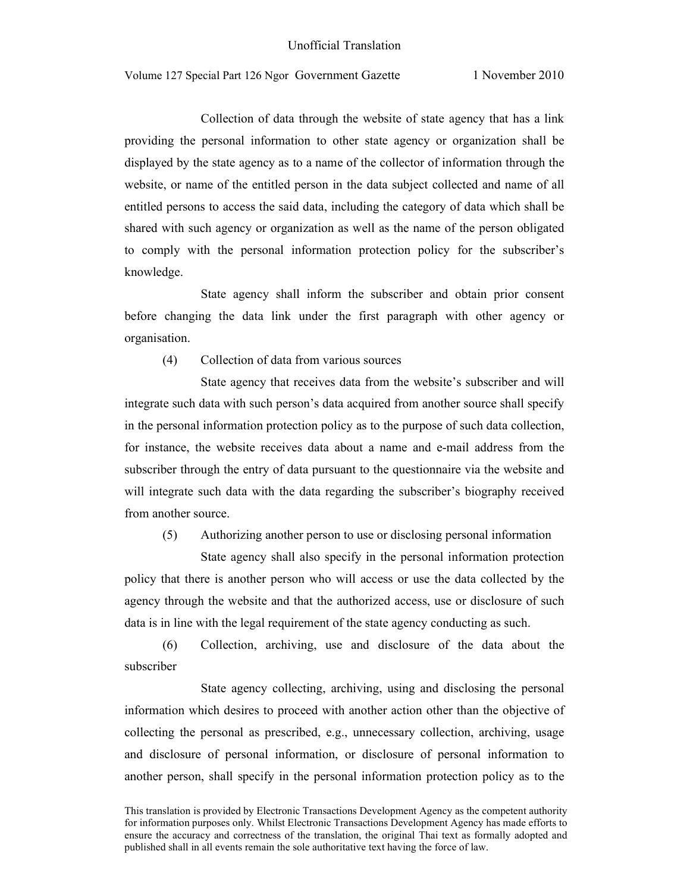Collection of data through the website of state agency that has a link providing the personal information to other state agency or organization shall be displayed by the state agency as to a name of the collector of information through the website, or name of the entitled person in the data subject collected and name of all entitled persons to access the said data, including the category of data which shall be shared with such agency or organization as well as the name of the person obligated to comply with the personal information protection policy for the subscriber's knowledge.

State agency shall inform the subscriber and obtain prior consent before changing the data link under the first paragraph with other agency or organisation.

(4) Collection of data from various sources

State agency that receives data from the website's subscriber and will integrate such data with such person's data acquired from another source shall specify in the personal information protection policy as to the purpose of such data collection, for instance, the website receives data about a name and e-mail address from the subscriber through the entry of data pursuant to the questionnaire via the website and will integrate such data with the data regarding the subscriber's biography received from another source.

(5) Authorizing another person to use or disclosing personal information

State agency shall also specify in the personal information protection policy that there is another person who will access or use the data collected by the agency through the website and that the authorized access, use or disclosure of such data is in line with the legal requirement of the state agency conducting as such.

(6) Collection, archiving, use and disclosure of the data about the subscriber

State agency collecting, archiving, using and disclosing the personal information which desires to proceed with another action other than the objective of collecting the personal as prescribed, e.g., unnecessary collection, archiving, usage and disclosure of personal information, or disclosure of personal information to another person, shall specify in the personal information protection policy as to the

This translation is provided by Electronic Transactions Development Agency as the competent authority for information purposes only. Whilst Electronic Transactions Development Agency has made efforts to ensure the accuracy and correctness of the translation, the original Thai text as formally adopted and published shall in all events remain the sole authoritative text having the force of law.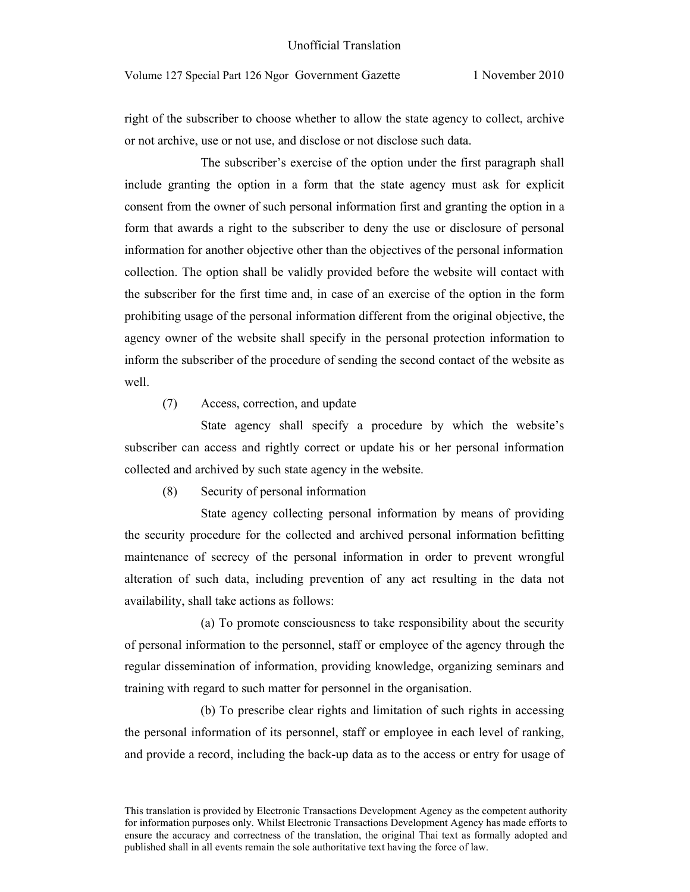right of the subscriber to choose whether to allow the state agency to collect, archive or not archive, use or not use, and disclose or not disclose such data.

The subscriber's exercise of the option under the first paragraph shall include granting the option in a form that the state agency must ask for explicit consent from the owner of such personal information first and granting the option in a form that awards a right to the subscriber to deny the use or disclosure of personal information for another objective other than the objectives of the personal information collection. The option shall be validly provided before the website will contact with the subscriber for the first time and, in case of an exercise of the option in the form prohibiting usage of the personal information different from the original objective, the agency owner of the website shall specify in the personal protection information to inform the subscriber of the procedure of sending the second contact of the website as well.

(7) Access, correction, and update

State agency shall specify a procedure by which the website's subscriber can access and rightly correct or update his or her personal information collected and archived by such state agency in the website.

(8) Security of personal information

State agency collecting personal information by means of providing the security procedure for the collected and archived personal information befitting maintenance of secrecy of the personal information in order to prevent wrongful alteration of such data, including prevention of any act resulting in the data not availability, shall take actions as follows:

(a) To promote consciousness to take responsibility about the security of personal information to the personnel, staff or employee of the agency through the regular dissemination of information, providing knowledge, organizing seminars and training with regard to such matter for personnel in the organisation.

(b) To prescribe clear rights and limitation of such rights in accessing the personal information of its personnel, staff or employee in each level of ranking, and provide a record, including the back-up data as to the access or entry for usage of

This translation is provided by Electronic Transactions Development Agency as the competent authority for information purposes only. Whilst Electronic Transactions Development Agency has made efforts to ensure the accuracy and correctness of the translation, the original Thai text as formally adopted and published shall in all events remain the sole authoritative text having the force of law.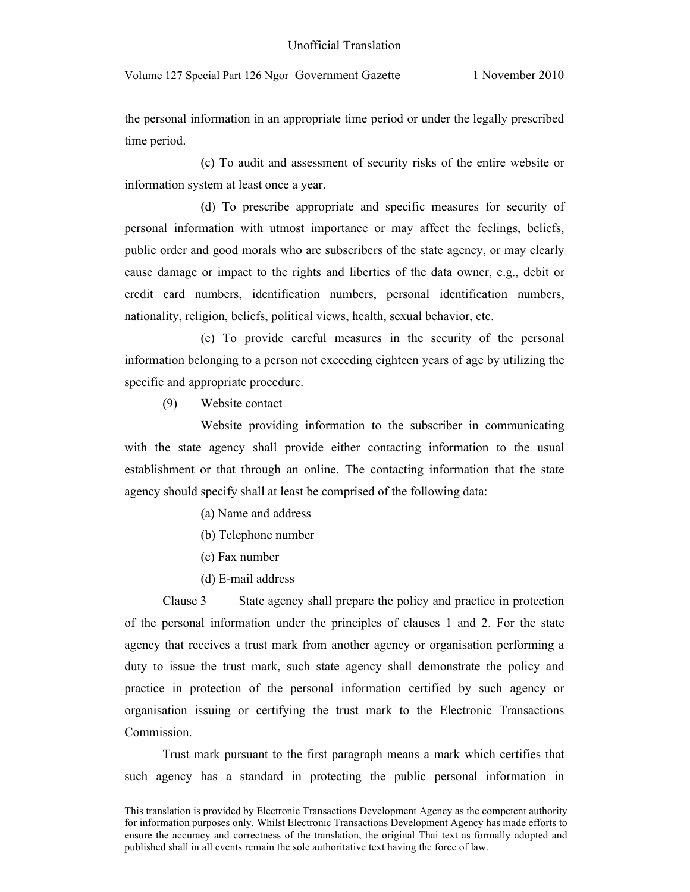the personal information in an appropriate time period or under the legally prescribed time period.

(c) To audit and assessment of security risks of the entire website or information system at least once a year.

(d) To prescribe appropriate and specific measures for security of personal information with utmost importance or may affect the feelings, beliefs, public order and good morals who are subscribers of the state agency, or may clearly cause damage or impact to the rights and liberties of the data owner, e.g., debit or credit card numbers, identification numbers, personal identification numbers, nationality, religion, beliefs, political views, health, sexual behavior, etc.

(e) To provide careful measures in the security of the personal information belonging to a person not exceeding eighteen years of age by utilizing the specific and appropriate procedure.

(9) Website contact

Website providing information to the subscriber in communicating with the state agency shall provide either contacting information to the usual establishment or that through an online. The contacting information that the state agency should specify shall at least be comprised of the following data:

- (a) Name and address
- (b) Telephone number
- (c) Fax number
- (d) E-mail address

Clause 3 State agency shall prepare the policy and practice in protection of the personal information under the principles of clauses 1 and 2. For the state agency that receives a trust mark from another agency or organisation performing a duty to issue the trust mark, such state agency shall demonstrate the policy and practice in protection of the personal information certified by such agency or organisation issuing or certifying the trust mark to the Electronic Transactions Commission.

Trust mark pursuant to the first paragraph means a mark which certifies that such agency has a standard in protecting the public personal information in

This translation is provided by Electronic Transactions Development Agency as the competent authority for information purposes only. Whilst Electronic Transactions Development Agency has made efforts to ensure the accuracy and correctness of the translation, the original Thai text as formally adopted and published shall in all events remain the sole authoritative text having the force of law.